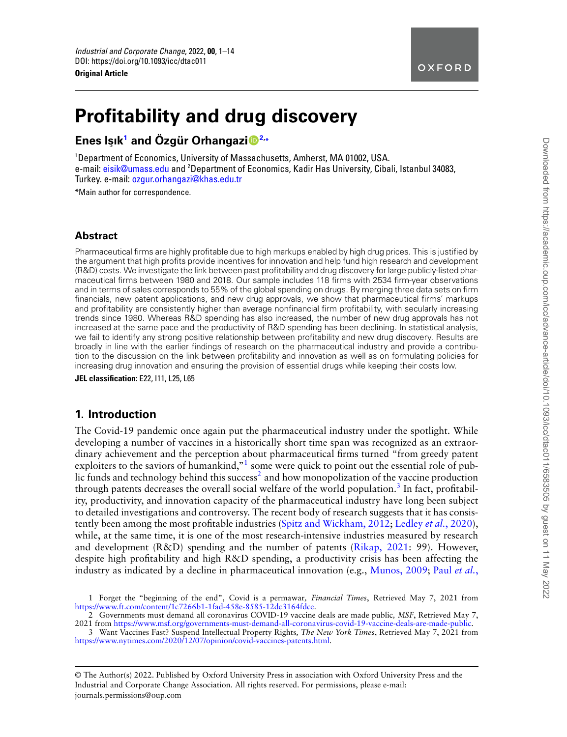

# **Profitability and drug discovery**

## **Enes Is**¸**ık[1](#page-0-0) and Özgur Orhangazi ¨ [2,](#page-0-1) \***

<span id="page-0-0"></span><sup>1</sup>Department of Economics, University of Massachusetts, Amherst, MA 01002, USA. e-mail: [eisik@umass.edu](mailto:eisik@umass.edu) and <sup>2</sup>Department of Economics, Kadir Has University, Cibali, Istanbul 34083, Turkey. e-mail: [ozgur.orhangazi@khas.edu.tr](mailto:ozgur.orhangazi@khas.edu.tr)

<span id="page-0-1"></span>\*Main author for correspondence.

## **Abstract**

Pharmaceutical firms are highly profitable due to high markups enabled by high drug prices. This is justified by the argument that high profits provide incentives for innovation and help fund high research and development (R&D) costs. We investigate the link between past profitability and drug discovery for large publicly-listed pharmaceutical firms between 1980 and 2018. Our sample includes 118 firms with 2534 firm-year observations and in terms of sales corresponds to 55% of the global spending on drugs. By merging three data sets on firm financials, new patent applications, and new drug approvals, we show that pharmaceutical firms' markups and profitability are consistently higher than average nonfinancial firm profitability, with secularly increasing trends since 1980. Whereas R&D spending has also increased, the number of new drug approvals has not increased at the same pace and the productivity of R&D spending has been declining. In statistical analysis, we fail to identify any strong positive relationship between profitability and new drug discovery. Results are broadly in line with the earlier findings of research on the pharmaceutical industry and provide a contribution to the discussion on the link between profitability and innovation as well as on formulating policies for increasing drug innovation and ensuring the provision of essential drugs while keeping their costs low.

**JEL classification:** E22, I11, L25, L65

## **1. Introduction**

The Covid-19 pandemic once again put the pharmaceutical industry under the spotlight. While developing a number of vaccines in a historically short time span was recognized as an extraordinary achievement and the perception about pharmaceutical firms turned "from greedy patent exploiters to the saviors of humankind,"<sup>[1](#page-0-2)</sup> some were quick to point out the essential role of pub-lic funds and technology behind this success<sup>[2](#page-0-3)</sup> and how monopolization of the vaccine production through patents decreases the overall social welfare of the world population.<sup>[3](#page-0-4)</sup> In fact, profitability, productivity, and innovation capacity of the pharmaceutical industry have long been subject to detailed investigations and controversy. The recent body of research suggests that it has consistently been among the most profitable industries [\(Spitz and Wickham, 2012;](#page-13-0) [Ledley](#page-13-1) *et al.*, 2020), while, at the same time, it is one of the most research-intensive industries measured by research and development (R&D) spending and the number of patents [\(Rikap, 2021](#page-13-2): 99). However, despite high profitability and high R&D spending, a productivity crisis has been affecting the industry as indicated by a decline in pharmaceutical innovation (e.g., [Munos, 2009](#page-13-3); Paul *[et al.](#page-13-4)*,

© The Author(s) 2022. Published by Oxford University Press in association with Oxford University Press and the Industrial and Corporate Change Association. All rights reserved. For permissions, please e-mail: journals.permissions@oup.com

<span id="page-0-2"></span><sup>1</sup> [Forget the "beginning of the end", Covid is a permawar](#page-13-4)*, Financial Times*, Retrieved May 7, 2021 from [https://www.ft.com/content/1c7266b1-1fad-458e-8585-12dc3164fdce.](#page-13-4)

<span id="page-0-3"></span><sup>2</sup> Governments must demand all coronavirus COVID-19 vaccine deals are made public*, MSF*, Retrieved May 7, 2021 from [https://www.msf.org/governments-must-demand-all-coronavirus-covid-19-vaccine-deals-are-made-public.](https://www.msf.org/governments-must-demand-all-coronavirus-covid-19-vaccine-deals-are-made-public)

<span id="page-0-4"></span><sup>3</sup> Want Vaccines Fast? Suspend Intellectual Property Rights*, The New York Times*, Retrieved May 7, 2021 from <https://www.nytimes.com/2020/12/07/opinion/covid-vaccines-patents.html>.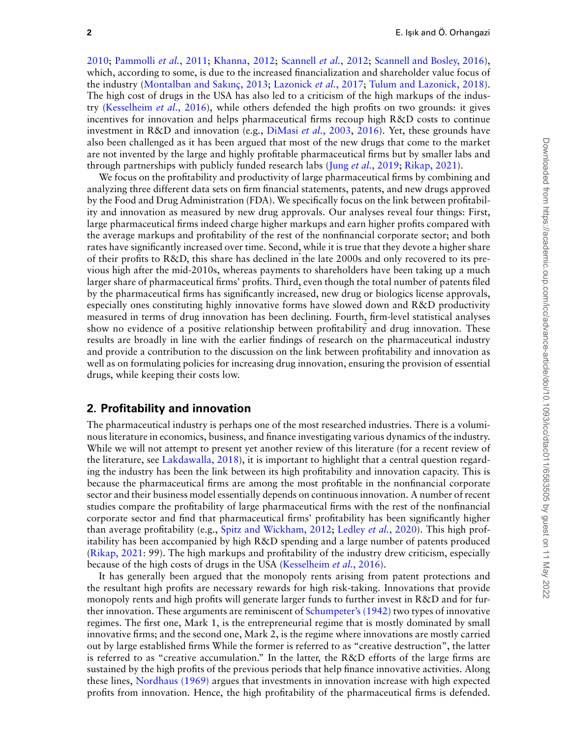2010; [Pammolli](#page-13-5) *et al.*, 2011; [Khanna, 2012](#page-13-6); [Scannell](#page-13-7) *et al.*, 2012; [Scannell and Bosley, 2016\)](#page-13-8), which, according to some, is due to the increased financialization and shareholder value focus of the industry [\(Montalban and Sakınç, 2013](#page-13-9); [Lazonick](#page-13-10) *et al.*, 2017; [Tulum and Lazonick, 2018\)](#page-13-11). The high cost of drugs in the USA has also led to a criticism of the high markups of the industry [\(Kesselheim](#page-13-12) *et al.*, 2016), while others defended the high profits on two grounds: it gives incentives for innovation and helps pharmaceutical firms recoup high R&D costs to continue investment in R&D and innovation (e.g., [DiMasi](#page-12-0) *et al.*, 2003, [2016](#page-12-1)). Yet, these grounds have also been challenged as it has been argued that most of the new drugs that come to the market are not invented by the large and highly profitable pharmaceutical firms but by smaller labs and through partnerships with publicly funded research labs (Jung *et al.*[, 2019](#page-13-13); [Rikap, 2021](#page-13-2)).

We focus on the profitability and productivity of large pharmaceutical firms by combining and analyzing three different data sets on firm financial statements, patents, and new drugs approved by the Food and Drug Administration (FDA). We specifically focus on the link between profitability and innovation as measured by new drug approvals. Our analyses reveal four things: First, large pharmaceutical firms indeed charge higher markups and earn higher profits compared with the average markups and profitability of the rest of the nonfinancial corporate sector; and both rates have significantly increased over time. Second, while it is true that they devote a higher share of their profits to R&D, this share has declined in the late 2000s and only recovered to its previous high after the mid-2010s, whereas payments to shareholders have been taking up a much larger share of pharmaceutical firms' profits. Third, even though the total number of patents filed by the pharmaceutical firms has significantly increased, new drug or biologics license approvals, especially ones constituting highly innovative forms have slowed down and R&D productivity measured in terms of drug innovation has been declining. Fourth, firm-level statistical analyses show no evidence of a positive relationship between profitability and drug innovation. These results are broadly in line with the earlier findings of research on the pharmaceutical industry and provide a contribution to the discussion on the link between profitability and innovation as well as on formulating policies for increasing drug innovation, ensuring the provision of essential drugs, while keeping their costs low.

#### **2. Profitability and innovation**

The pharmaceutical industry is perhaps one of the most researched industries. There is a voluminous literature in economics, business, and finance investigating various dynamics of the industry. While we will not attempt to present yet another review of this literature (for a recent review of the literature, see [Lakdawalla, 2018\)](#page-13-14), it is important to highlight that a central question regarding the industry has been the link between its high profitability and innovation capacity. This is because the pharmaceutical firms are among the most profitable in the nonfinancial corporate sector and their business model essentially depends on continuous innovation. A number of recent studies compare the profitability of large pharmaceutical firms with the rest of the nonfinancial corporate sector and find that pharmaceutical firms' profitability has been significantly higher than average profitability (e.g., [Spitz and Wickham, 2012;](#page-13-0) [Ledley](#page-13-1) *et al.*, 2020). This high profitability has been accompanied by high R&D spending and a large number of patents produced [\(Rikap, 2021](#page-13-2): 99). The high markups and profitability of the industry drew criticism, especially because of the high costs of drugs in the USA [\(Kesselheim](#page-13-12) *et al.*, 2016).

It has generally been argued that the monopoly rents arising from patent protections and the resultant high profits are necessary rewards for high risk-taking. Innovations that provide monopoly rents and high profits will generate larger funds to further invest in R&D and for further innovation. These arguments are reminiscent of [Schumpeter's \(1942\)](#page-13-15) two types of innovative regimes. The first one, Mark 1, is the entrepreneurial regime that is mostly dominated by small innovative firms; and the second one, Mark 2, is the regime where innovations are mostly carried out by large established firms While the former is referred to as "creative destruction", the latter is referred to as "creative accumulation." In the latter, the R&D efforts of the large firms are sustained by the high profits of the previous periods that help finance innovative activities. Along these lines, [Nordhaus \(1969\)](#page-13-16) argues that investments in innovation increase with high expected profits from innovation. Hence, the high profitability of the pharmaceutical firms is defended.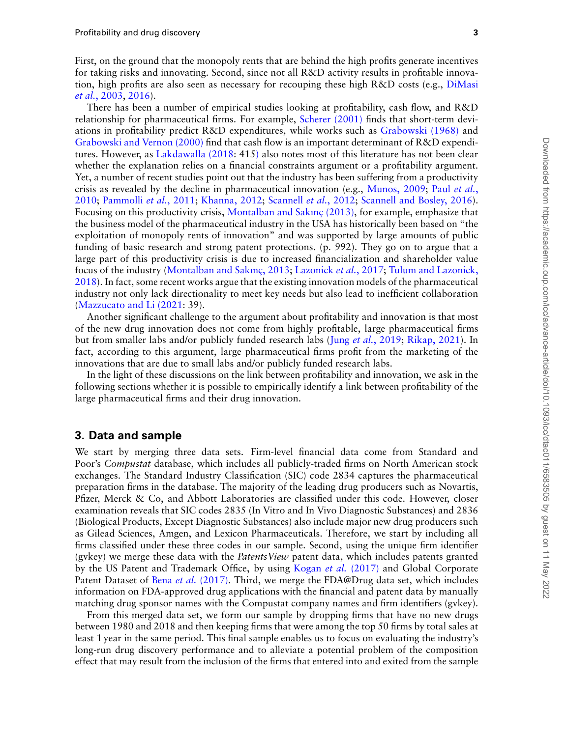First, on the ground that the monopoly rents that are behind the high profits generate incentives for taking risks and innovating. Second, since not all R&D activity results in profitable innovation, high profits are also seen as necessary for recouping these high R&D costs (e.g., [DiMasi](#page-12-0) *et al.*[, 2003](#page-12-0), [2016\)](#page-12-1).

There has been a number of empirical studies looking at profitability, cash flow, and R&D relationship for pharmaceutical firms. For example, [Scherer \(2001\)](#page-13-17) finds that short-term deviations in profitability predict R&D expenditures, while works such as [Grabowski \(1968\)](#page-13-18) and [Grabowski and Vernon \(2000\)](#page-13-19) find that cash flow is an important determinant of R&D expenditures. However, as [Lakdawalla \(2018:](#page-13-14) 415[\)](#page-13-14) also notes most of this literature has not been clear whether the explanation relies on a financial constraints argument or a profitability argument. Yet, a number of recent studies point out that the industry has been suffering from a productivity crisis as revealed by the decline in pharmaceutical innovation (e.g., [Munos, 2009](#page-13-3); Paul *[et al.](#page-13-4)*, [2010](#page-13-4); [Pammolli](#page-13-5) *et al.*, 2011; [Khanna, 2012;](#page-13-6) [Scannell](#page-13-7) *et al.*, 2012; [Scannell and Bosley, 2016](#page-13-8)). Focusing on this productivity crisis, [Montalban and Sakınç \(2013\),](#page-13-9) for example, emphasize that the business model of the pharmaceutical industry in the USA has historically been based on "the exploitation of monopoly rents of innovation" and was supported by large amounts of public funding of basic research and strong patent protections. (p. 992). They go on to argue that a large part of this productivity crisis is due to increased financialization and shareholder value focus of the industry([Montalban and Sakınç, 2013;](#page-13-9) [Lazonick](#page-13-10) *et al.*, 2017; [Tulum and Lazonick,](#page-13-11) [2018](#page-13-11)). In fact, some recent works argue that the existing innovation models of the pharmaceutical industry not only lack directionality to meet key needs but also lead to inefficient collaboration ([Mazzucato and Li \(2021:](#page-13-20) 39).

Another significant challenge to the argument about profitability and innovation is that most of the new drug innovation does not come from highly profitable, large pharmaceutical firms but from smaller labs and/or publicly funded research labs (Jung *et al.*[, 2019](#page-13-13); [Rikap, 2021](#page-13-2)). In fact, according to this argument, large pharmaceutical firms profit from the marketing of the innovations that are due to small labs and/or publicly funded research labs.

In the light of these discussions on the link between profitability and innovation, we ask in the following sections whether it is possible to empirically identify a link between profitability of the large pharmaceutical firms and their drug innovation.

## **3. Data and sample**

We start by merging three data sets. Firm-level financial data come from Standard and Poor's *Compustat* database, which includes all publicly-traded firms on North American stock exchanges. The Standard Industry Classification (SIC) code 2834 captures the pharmaceutical preparation firms in the database. The majority of the leading drug producers such as Novartis, Pfizer, Merck & Co, and Abbott Laboratories are classified under this code. However, closer examination reveals that SIC codes 2835 (In Vitro and In Vivo Diagnostic Substances) and 2836 (Biological Products, Except Diagnostic Substances) also include major new drug producers such as Gilead Sciences, Amgen, and Lexicon Pharmaceuticals. Therefore, we start by including all firms classified under these three codes in our sample. Second, using the unique firm identifier (gvkey) we merge these data with the *PatentsView* patent data, which includes patents granted by the US Patent and Trademark Office, by using Kogan *et al.* [\(2017\)](#page-13-21) and Global Corporate Patent Dataset of Bena *et al.* [\(2017\).](#page-12-2) Third, we merge the FDA@Drug data set, which includes information on FDA-approved drug applications with the financial and patent data by manually matching drug sponsor names with the Compustat company names and firm identifiers (gvkey).

From this merged data set, we form our sample by dropping firms that have no new drugs between 1980 and 2018 and then keeping firms that were among the top 50 firms by total sales at least 1 year in the same period. This final sample enables us to focus on evaluating the industry's long-run drug discovery performance and to alleviate a potential problem of the composition effect that may result from the inclusion of the firms that entered into and exited from the sample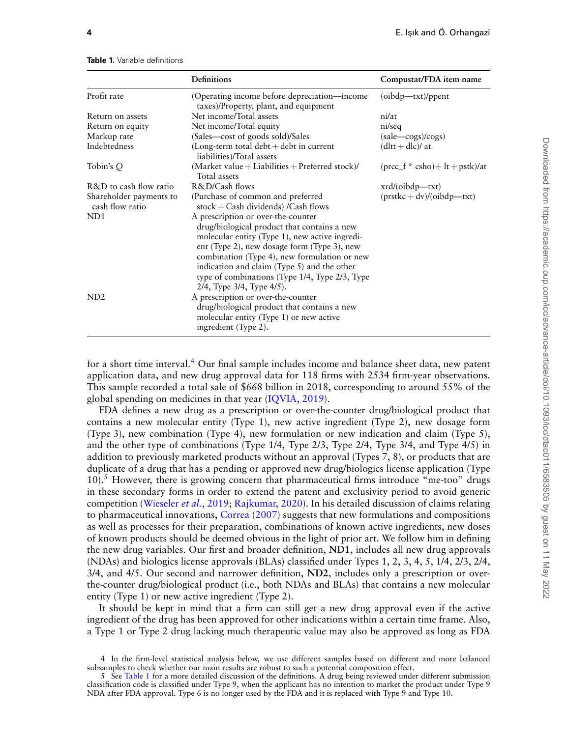|                                            | <b>Definitions</b>                                                                                                                                                                                                                                                                                                                                                        | Compustat/FDA item name                                              |
|--------------------------------------------|---------------------------------------------------------------------------------------------------------------------------------------------------------------------------------------------------------------------------------------------------------------------------------------------------------------------------------------------------------------------------|----------------------------------------------------------------------|
| Profit rate                                | (Operating income before depreciation—income<br>taxes)/Property, plant, and equipment                                                                                                                                                                                                                                                                                     | $(boldp$ —txt $)/pp$ ent                                             |
| Return on assets                           | Net income/Total assets                                                                                                                                                                                                                                                                                                                                                   | ni/at                                                                |
| Return on equity                           | Net income/Total equity                                                                                                                                                                                                                                                                                                                                                   | ni/seq                                                               |
| Markup rate                                | (Sales—cost of goods sold)/Sales                                                                                                                                                                                                                                                                                                                                          | (sale—cogs)/cogs)                                                    |
| Indebtedness                               | (Long-term total debt $+$ debt in current<br>liabilities)/Total assets                                                                                                                                                                                                                                                                                                    | $(d)$ tt + dlc)/ at                                                  |
| Tobin's Q                                  | (Market value + Liabilities + Preferred stock)/<br>Total assets                                                                                                                                                                                                                                                                                                           | $(\text{proc}_f * \text{csho}) + \text{lt} + \text{pstb})/\text{at}$ |
| R&D to cash flow ratio                     | R&D/Cash flows                                                                                                                                                                                                                                                                                                                                                            | $xrd/(oibdp - txt)$                                                  |
| Shareholder payments to<br>cash flow ratio | (Purchase of common and preferred<br>$stock + Cash$ dividends) /Cash flows                                                                                                                                                                                                                                                                                                | $(\text{prstkc} + \text{dv})/(\text{oibdp} - \text{txt})$            |
| ND <sub>1</sub>                            | A prescription or over-the-counter<br>drug/biological product that contains a new<br>molecular entity (Type 1), new active ingredi-<br>ent (Type 2), new dosage form (Type 3), new<br>combination (Type 4), new formulation or new<br>indication and claim (Type 5) and the other<br>type of combinations (Type 1/4, Type 2/3, Type<br>$2/4$ , Type $3/4$ , Type $4/5$ ). |                                                                      |
| ND <sub>2</sub>                            | A prescription or over-the-counter<br>drug/biological product that contains a new<br>molecular entity (Type 1) or new active<br>ingredient (Type 2).                                                                                                                                                                                                                      |                                                                      |

<span id="page-3-2"></span>**Table 1.** Variable definitions

for a short time interval.<sup>[4](#page-3-0)</sup> Our final sample includes income and balance sheet data, new patent application data, and new drug approval data for 118 firms with 2534 firm-year observations. This sample recorded a total sale of \$668 billion in 2018, corresponding to around 55% of the global spending on medicines in that year [\(IQVIA, 2019](#page-13-22)).

FDA defines a new drug as a prescription or over-the-counter drug/biological product that contains a new molecular entity (Type 1), new active ingredient (Type 2), new dosage form (Type 3), new combination (Type 4), new formulation or new indication and claim (Type 5), and the other type of combinations (Type 1/4, Type 2/3, Type 2/4, Type 3/4, and Type 4/5) in addition to previously marketed products without an approval (Types 7, 8), or products that are duplicate of a drug that has a pending or approved new drug/biologics license application (Type  $10$ .<sup>[5](#page-3-1)</sup> However, there is growing concern that pharmaceutical firms introduce "me-too" drugs in these secondary forms in order to extend the patent and exclusivity period to avoid generic competition [\(Wieseler](#page-13-23) *et al.*, 2019; [Rajkumar, 2020](#page-13-24)). In his detailed discussion of claims relating to pharmaceutical innovations, [Correa \(2007\)](#page-12-3) suggests that new formulations and compositions as well as processes for their preparation, combinations of known active ingredients, new doses of known products should be deemed obvious in the light of prior art. We follow him in defining the new drug variables. Our first and broader definition, **ND1**, includes all new drug approvals (NDAs) and biologics license approvals (BLAs) classified under Types 1, 2, 3, 4, 5, 1/4, 2/3, 2/4, 3/4, and 4/5. Our second and narrower definition, **ND2**, includes only a prescription or overthe-counter drug/biological product (i.e., both NDAs and BLAs) that contains a new molecular entity (Type 1) or new active ingredient (Type 2).

It should be kept in mind that a firm can still get a new drug approval even if the active ingredient of the drug has been approved for other indications within a certain time frame. Also, a Type 1 or Type 2 drug lacking much therapeutic value may also be approved as long as FDA

<span id="page-3-0"></span><sup>4</sup> In the firm-level statistical analysis below, we use different samples based on different and more balanced subsamples to check whether our main results are robust to such a potential composition effect.

<span id="page-3-1"></span><sup>5</sup> See [Table 1](#page-3-2) for a more detailed discussion of the definitions. A drug being reviewed under different submission classification code is classified under Type 9, when the applicant has no intention to market the product under Type 9 NDA after FDA approval. Type 6 is no longer used by the FDA and it is replaced with Type 9 and Type 10.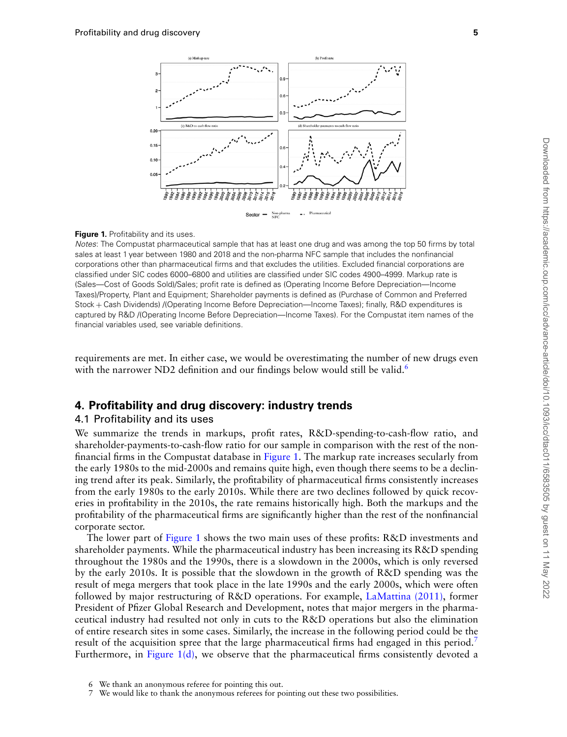<span id="page-4-1"></span>

#### **Figure 1.** Profitability and its uses.

*Notes*: The Compustat pharmaceutical sample that has at least one drug and was among the top 50 firms by total sales at least 1 year between 1980 and 2018 and the non-pharma NFC sample that includes the nonfinancial corporations other than pharmaceutical firms and that excludes the utilities. Excluded financial corporations are classified under SIC codes 6000–6800 and utilities are classified under SIC codes 4900–4999. Markup rate is (Sales—Cost of Goods Sold)/Sales; profit rate is defined as (Operating Income Before Depreciation—Income Taxes)/Property, Plant and Equipment; Shareholder payments is defined as (Purchase of Common and Preferred Stock + Cash Dividends) /(Operating Income Before Depreciation—Income Taxes); finally, R&D expenditures is captured by R&D /(Operating Income Before Depreciation—Income Taxes). For the Compustat item names of the financial variables used, see variable definitions.

requirements are met. In either case, we would be overestimating the number of new drugs even with the narrower ND2 definition and our findings below would still be valid.<sup>[6](#page-4-0)</sup>

## **4. Profitability and drug discovery: industry trends**

#### 4.1 Profitability and its uses

We summarize the trends in markups, profit rates, R&D-spending-to-cash-flow ratio, and shareholder-payments-to-cash-flow ratio for our sample in comparison with the rest of the nonfinancial firms in the Compustat database in [Figure 1](#page-4-1). The markup rate increases secularly from the early 1980s to the mid-2000s and remains quite high, even though there seems to be a declining trend after its peak. Similarly, the profitability of pharmaceutical firms consistently increases from the early 1980s to the early 2010s. While there are two declines followed by quick recoveries in profitability in the 2010s, the rate remains historically high. Both the markups and the profitability of the pharmaceutical firms are significantly higher than the rest of the nonfinancial corporate sector.

The lower part of [Figure 1](#page-4-1) shows the two main uses of these profits: R&D investments and shareholder payments. While the pharmaceutical industry has been increasing its R&D spending throughout the 1980s and the 1990s, there is a slowdown in the 2000s, which is only reversed by the early 2010s. It is possible that the slowdown in the growth of R&D spending was the result of mega mergers that took place in the late 1990s and the early 2000s, which were often followed by major restructuring of R&D operations. For example, [LaMattina \(2011\),](#page-13-25) former President of Pfizer Global Research and Development, notes that major mergers in the pharmaceutical industry had resulted not only in cuts to the R&D operations but also the elimination of entire research sites in some cases. Similarly, the increase in the following period could be the result of the acquisition spree that the large pharmaceutical firms had engaged in this period.<sup>[7](#page-4-2)</sup> Furthermore, in Figure  $1(d)$ , we observe that the pharmaceutical firms consistently devoted a

<span id="page-4-0"></span><sup>6</sup> We thank an anonymous referee for pointing this out.<br>7 We would like to thank the anonymous referees for no

<span id="page-4-2"></span>We would like to thank the anonymous referees for pointing out these two possibilities.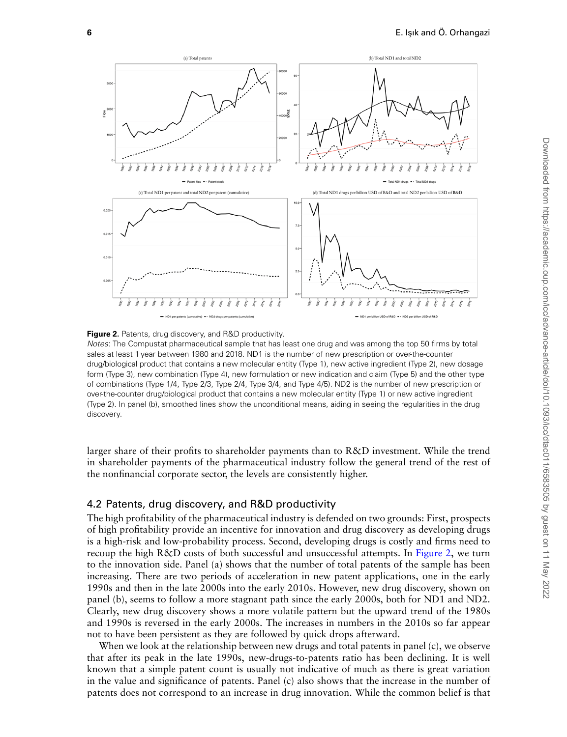<span id="page-5-0"></span>



*Notes*: The Compustat pharmaceutical sample that has least one drug and was among the top 50 firms by total sales at least 1 year between 1980 and 2018. ND1 is the number of new prescription or over-the-counter drug/biological product that contains a new molecular entity (Type 1), new active ingredient (Type 2), new dosage form (Type 3), new combination (Type 4), new formulation or new indication and claim (Type 5) and the other type of combinations (Type 1/4, Type 2/3, Type 2/4, Type 3/4, and Type 4/5). ND2 is the number of new prescription or over-the-counter drug/biological product that contains a new molecular entity (Type 1) or new active ingredient (Type 2). In panel (b), smoothed lines show the unconditional means, aiding in seeing the regularities in the drug discovery.

larger share of their profits to shareholder payments than to R&D investment. While the trend in shareholder payments of the pharmaceutical industry follow the general trend of the rest of the nonfinancial corporate sector, the levels are consistently higher.

#### 4.2 Patents, drug discovery, and R&D productivity

The high profitability of the pharmaceutical industry is defended on two grounds: First, prospects of high profitability provide an incentive for innovation and drug discovery as developing drugs is a high-risk and low-probability process. Second, developing drugs is costly and firms need to recoup the high R&D costs of both successful and unsuccessful attempts. In [Figure 2](#page-5-0), we turn to the innovation side. Panel (a) shows that the number of total patents of the sample has been increasing. There are two periods of acceleration in new patent applications, one in the early 1990s and then in the late 2000s into the early 2010s. However, new drug discovery, shown on panel (b), seems to follow a more stagnant path since the early 2000s, both for ND1 and ND2. Clearly, new drug discovery shows a more volatile pattern but the upward trend of the 1980s and 1990s is reversed in the early 2000s. The increases in numbers in the 2010s so far appear not to have been persistent as they are followed by quick drops afterward.

When we look at the relationship between new drugs and total patents in panel (c), we observe that after its peak in the late 1990s, new-drugs-to-patents ratio has been declining. It is well known that a simple patent count is usually not indicative of much as there is great variation in the value and significance of patents. Panel (c) also shows that the increase in the number of patents does not correspond to an increase in drug innovation. While the common belief is that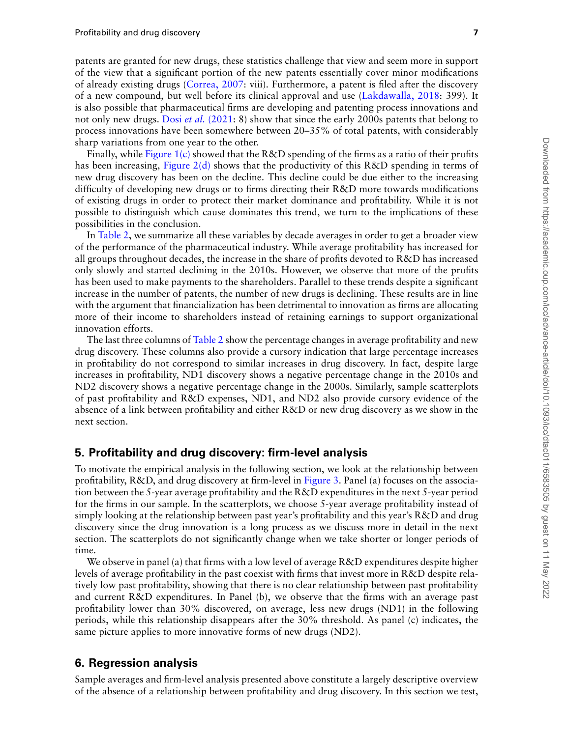patents are granted for new drugs, these statistics challenge that view and seem more in support of the view that a significant portion of the new patents essentially cover minor modifications of already existing drugs [\(Correa, 2007](#page-12-3): viii). Furthermore, a patent is filed after the discovery of a new compound, but well before its clinical approval and use [\(Lakdawalla, 2018](#page-13-14): 399). It is also possible that pharmaceutical firms are developing and patenting process innovations and not only new drugs. Dosi *et al.* [\(2021](#page-12-4): 8) show that since the early 2000s patents that belong to process innovations have been somewhere between 20–35% of total patents, with considerably sharp variations from one year to the other.

Finally, while [Figure 1\(c\)](#page-4-1) showed that the  $R\&D$  spending of the firms as a ratio of their profits has been increasing, [Figure 2\(d\)](#page-5-0) shows that the productivity of this R&D spending in terms of new drug discovery has been on the decline. This decline could be due either to the increasing difficulty of developing new drugs or to firms directing their R&D more towards modifications of existing drugs in order to protect their market dominance and profitability. While it is not possible to distinguish which cause dominates this trend, we turn to the implications of these possibilities in the conclusion.

In [Table 2,](#page-7-0) we summarize all these variables by decade averages in order to get a broader view of the performance of the pharmaceutical industry. While average profitability has increased for all groups throughout decades, the increase in the share of profits devoted to R&D has increased only slowly and started declining in the 2010s. However, we observe that more of the profits has been used to make payments to the shareholders. Parallel to these trends despite a significant increase in the number of patents, the number of new drugs is declining. These results are in line with the argument that financialization has been detrimental to innovation as firms are allocating more of their income to shareholders instead of retaining earnings to support organizational innovation efforts.

The last three columns of [Table 2](#page-7-0) show the percentage changes in average profitability and new drug discovery. These columns also provide a cursory indication that large percentage increases in profitability do not correspond to similar increases in drug discovery. In fact, despite large increases in profitability, ND1 discovery shows a negative percentage change in the 2010s and ND2 discovery shows a negative percentage change in the 2000s. Similarly, sample scatterplots of past profitability and R&D expenses, ND1, and ND2 also provide cursory evidence of the absence of a link between profitability and either R&D or new drug discovery as we show in the next section.

#### **5. Profitability and drug discovery: firm-level analysis**

To motivate the empirical analysis in the following section, we look at the relationship between profitability, R&D, and drug discovery at firm-level in [Figure 3](#page-8-0). Panel (a) focuses on the association between the 5-year average profitability and the R&D expenditures in the next 5-year period for the firms in our sample. In the scatterplots, we choose 5-year average profitability instead of simply looking at the relationship between past year's profitability and this year's R&D and drug discovery since the drug innovation is a long process as we discuss more in detail in the next section. The scatterplots do not significantly change when we take shorter or longer periods of time.

We observe in panel (a) that firms with a low level of average R&D expenditures despite higher levels of average profitability in the past coexist with firms that invest more in R&D despite relatively low past profitability, showing that there is no clear relationship between past profitability and current R&D expenditures. In Panel (b), we observe that the firms with an average past profitability lower than 30% discovered, on average, less new drugs (ND1) in the following periods, while this relationship disappears after the 30% threshold. As panel (c) indicates, the same picture applies to more innovative forms of new drugs (ND2).

#### **6. Regression analysis**

Sample averages and firm-level analysis presented above constitute a largely descriptive overview of the absence of a relationship between profitability and drug discovery. In this section we test,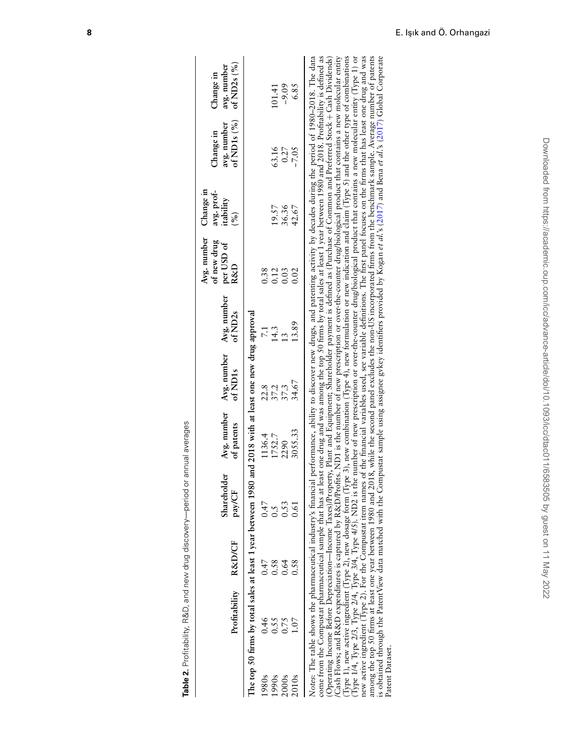|                 | Table 2. Profitability, R&D, and new drug discovery—period or annual averages                                                                                                                                                                                                                                                                                                                                                                                                                                                                                                                                                                                                                                                                                                                                                                                                                                                                                                                                                   |      |                       |                                                                                                                                                                                                                                                                                                                                                                                                                                                                                                                                                                                                                                                                                                          |                                    |                                    |                                                 |                                                                 |                                           |                                                       |
|-----------------|---------------------------------------------------------------------------------------------------------------------------------------------------------------------------------------------------------------------------------------------------------------------------------------------------------------------------------------------------------------------------------------------------------------------------------------------------------------------------------------------------------------------------------------------------------------------------------------------------------------------------------------------------------------------------------------------------------------------------------------------------------------------------------------------------------------------------------------------------------------------------------------------------------------------------------------------------------------------------------------------------------------------------------|------|-----------------------|----------------------------------------------------------------------------------------------------------------------------------------------------------------------------------------------------------------------------------------------------------------------------------------------------------------------------------------------------------------------------------------------------------------------------------------------------------------------------------------------------------------------------------------------------------------------------------------------------------------------------------------------------------------------------------------------------------|------------------------------------|------------------------------------|-------------------------------------------------|-----------------------------------------------------------------|-------------------------------------------|-------------------------------------------------------|
|                 | Profitability R&D/CF                                                                                                                                                                                                                                                                                                                                                                                                                                                                                                                                                                                                                                                                                                                                                                                                                                                                                                                                                                                                            |      | Shareholder<br>pay/CF | Avg. number<br>of patents                                                                                                                                                                                                                                                                                                                                                                                                                                                                                                                                                                                                                                                                                | Avg. number<br>of ND <sub>1s</sub> | Avg. number<br>of ND <sub>2s</sub> | Avg. number<br>of new drug<br>per USD of<br>R&D | Change in<br>avg. prof-<br>itability<br>$\mathcal{S}_{\bullet}$ | of ND1s $(%)$<br>avg. number<br>Change in | of ND <sub>2s</sub> $(%)$<br>avg. number<br>Change in |
|                 | The top 50 firms by total sales at least 1 year between 1980 and 2018 with at least one new drug approval                                                                                                                                                                                                                                                                                                                                                                                                                                                                                                                                                                                                                                                                                                                                                                                                                                                                                                                       |      |                       |                                                                                                                                                                                                                                                                                                                                                                                                                                                                                                                                                                                                                                                                                                          |                                    |                                    |                                                 |                                                                 |                                           |                                                       |
| 1980s           | 0.46                                                                                                                                                                                                                                                                                                                                                                                                                                                                                                                                                                                                                                                                                                                                                                                                                                                                                                                                                                                                                            | 0.47 | 0.47                  | 1136.4                                                                                                                                                                                                                                                                                                                                                                                                                                                                                                                                                                                                                                                                                                   |                                    | $\overline{7.1}$                   | 0.38                                            |                                                                 |                                           |                                                       |
| 1990s           | 0.55                                                                                                                                                                                                                                                                                                                                                                                                                                                                                                                                                                                                                                                                                                                                                                                                                                                                                                                                                                                                                            | 0.58 | 0.5                   | 1752.7                                                                                                                                                                                                                                                                                                                                                                                                                                                                                                                                                                                                                                                                                                   | 22.8<br>37.2                       | 14.3                               | 0.12                                            | 19.57                                                           | 63.16                                     | 101.41                                                |
| 2000s           | 0.75                                                                                                                                                                                                                                                                                                                                                                                                                                                                                                                                                                                                                                                                                                                                                                                                                                                                                                                                                                                                                            | 0.64 | 0.53                  | 2290                                                                                                                                                                                                                                                                                                                                                                                                                                                                                                                                                                                                                                                                                                     | 37.3                               | $\frac{3}{2}$                      | 0.03                                            | 36.36                                                           | 0.27                                      | $-9.09$                                               |
| 2010s           |                                                                                                                                                                                                                                                                                                                                                                                                                                                                                                                                                                                                                                                                                                                                                                                                                                                                                                                                                                                                                                 | 0.58 | 0.61                  | 3055.33                                                                                                                                                                                                                                                                                                                                                                                                                                                                                                                                                                                                                                                                                                  | 34.67                              | 13.89                              | 0.02                                            | 42.67                                                           | $-7.05$                                   | 6.85                                                  |
| Patent Dataset. | Cash Flows; and R&D expenditures is captured by R&D/Profits. ND1 is the number of new prescription or over-the-counter drug/biological product that contains a new molecular entity<br>Type 1), new active ingredient (Type 2), new dosage form (Type 3), new combination (Type 4), new formulation or new indication and claim (Type 5) and the other type of combinations<br>new active ingredient (Type 2). For the Compustat item names of the financial variables used, see variable definitions. The first panel focuses on the firms that has least one drug and was<br>Notes: The table shows the pharmaceutical industry's financial performance, ability to discover new drugs, and patenting activity by decades during the period of 1980–2018. The data<br>Type 1/4, Type 2/3, Type 2/4, Type 3/4, Type 4/5<br>come from the Compustat pharmaceutical sample<br>Operating Income Before Depreciation-Income<br>is obtained through the PatentView data matched<br>among the top 50 firms at least one year between |      |                       | with the Compustat sample using assignee gykey identifiers provided by Kogan et al.'s (2017) and Bena et al.'s (2017) Global Corporate<br>that has at least one drug and was among the top 50 firms by total sales at least 1 year between 1980 and 2018. Profitability is defined as<br>1980 and 2018, while the second panel excludes the non-US incorporated firms from the benchmark sample. Average number of patents<br>Taxes)/Property, Plant and Equipment; Shareholder payment is defined as (Purchase of Common and Preferred Stock + Cash Dividends)<br>). ND2 is the number of new prescription or over-the-counter drug/biological product that contains a new molecular entity (Type 1) or |                                    |                                    |                                                 |                                                                 |                                           |                                                       |

<span id="page-7-0"></span>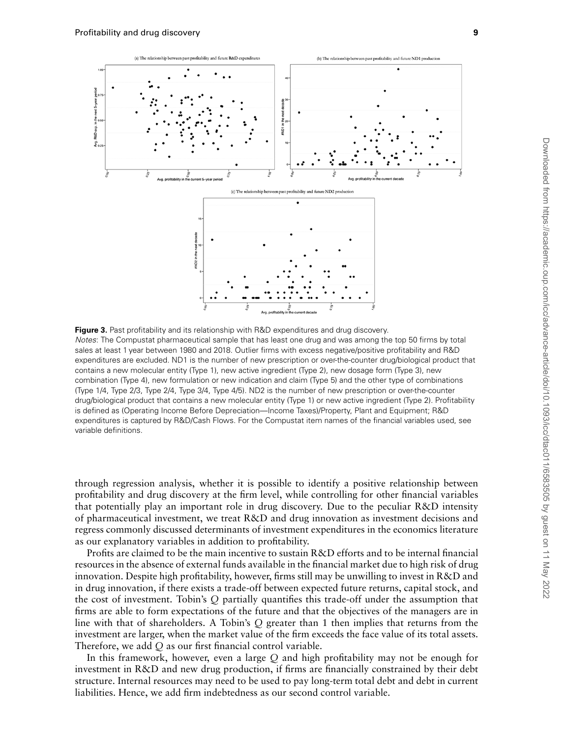<span id="page-8-0"></span>

**Figure 3.** Past profitability and its relationship with R&D expenditures and drug discovery. *Notes*: The Compustat pharmaceutical sample that has least one drug and was among the top 50 firms by total sales at least 1 year between 1980 and 2018. Outlier firms with excess negative/positive profitability and R&D expenditures are excluded. ND1 is the number of new prescription or over-the-counter drug/biological product that contains a new molecular entity (Type 1), new active ingredient (Type 2), new dosage form (Type 3), new combination (Type 4), new formulation or new indication and claim (Type 5) and the other type of combinations (Type 1/4, Type 2/3, Type 2/4, Type 3/4, Type 4/5). ND2 is the number of new prescription or over-the-counter drug/biological product that contains a new molecular entity (Type 1) or new active ingredient (Type 2). Profitability is defined as (Operating Income Before Depreciation—Income Taxes)/Property, Plant and Equipment; R&D expenditures is captured by R&D/Cash Flows. For the Compustat item names of the financial variables used, see variable definitions.

through regression analysis, whether it is possible to identify a positive relationship between profitability and drug discovery at the firm level, while controlling for other financial variables that potentially play an important role in drug discovery. Due to the peculiar R&D intensity of pharmaceutical investment, we treat R&D and drug innovation as investment decisions and regress commonly discussed determinants of investment expenditures in the economics literature as our explanatory variables in addition to profitability.

Profits are claimed to be the main incentive to sustain R&D efforts and to be internal financial resources in the absence of external funds available in the financial market due to high risk of drug innovation. Despite high profitability, however, firms still may be unwilling to invest in R&D and in drug innovation, if there exists a trade-off between expected future returns, capital stock, and the cost of investment. Tobin's *Q* partially quantifies this trade-off under the assumption that firms are able to form expectations of the future and that the objectives of the managers are in line with that of shareholders. A Tobin's *Q* greater than 1 then implies that returns from the investment are larger, when the market value of the firm exceeds the face value of its total assets. Therefore, we add *Q* as our first financial control variable.

In this framework, however, even a large *Q* and high profitability may not be enough for investment in R&D and new drug production, if firms are financially constrained by their debt structure. Internal resources may need to be used to pay long-term total debt and debt in current liabilities. Hence, we add firm indebtedness as our second control variable.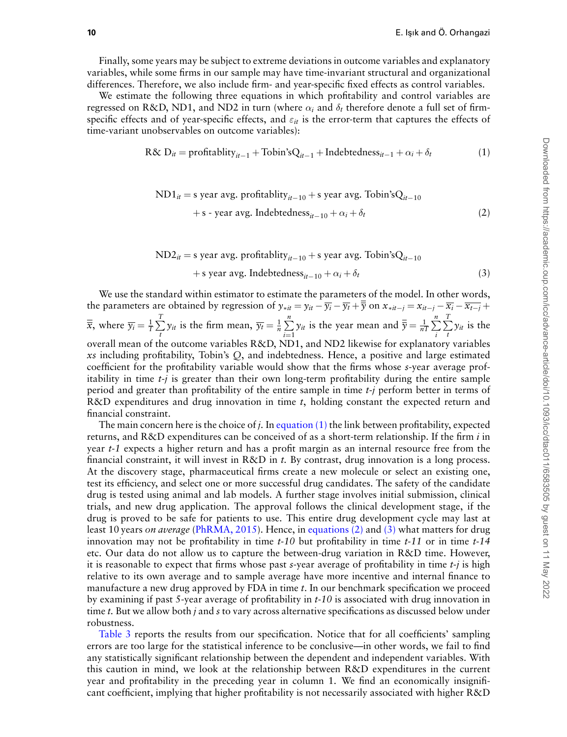Finally, some years may be subject to extreme deviations in outcome variables and explanatory variables, while some firms in our sample may have time-invariant structural and organizational differences. Therefore, we also include firm- and year-specific fixed effects as control variables.

We estimate the following three equations in which profitability and control variables are regressed on R&D, ND1, and ND2 in turn (where  $\alpha_i$  and  $\delta_t$  therefore denote a full set of firmspecific effects and of year-specific effects, and  $\varepsilon_{it}$  is the error-term that captures the effects of time-variant unobservables on outcome variables):

<span id="page-9-1"></span>
$$
R\& D_{it} = \text{profitability}_{it-1} + \text{Tobin's}Q_{it-1} + \text{Indebtedness}_{it-1} + \alpha_i + \delta_t
$$
 (1)

<span id="page-9-0"></span>
$$
ND1it = s year avg. profitabilityit-10 + s year avg. Tobin'sQit-10 + s-year avg. Indebtednessit-10 + \alphai + \deltat
$$
 (2)

$$
ND2it = s year avg. profitabilityit-10 + s year avg. Tobin'sQit-10 + s year avg. Indebtednessit-10 +  $\alpha_i + \delta_t$  (3)
$$

<span id="page-9-2"></span>We use the standard within estimator to estimate the parameters of the model. In other words, the parameters are obtained by regression of  $y_{\text{**}i} = y_{it} - \overline{y_i} - \overline{y_i} + \overline{y}$  on  $x_{\text{**}i} = x_{it-j} - \overline{x_i} - \overline{x_{t-j}} +$  $\overline{\overline{x}}$ , where  $\overline{y_i} = \frac{1}{T} \sum_{i=1}^{T}$  $\sum_{t}^{T} y_{it}$  is the firm mean,  $\overline{y}_t = \frac{1}{n} \sum_{i=1}^{n}$  $\sum_{i=1}^{n} y_{it}$  is the year mean and  $\overline{\overline{y}} = \frac{1}{nT} \sum_{i=1}^{n}$ *i* ∑ *T*  $\sum_{t} y_{it}$  is the overall mean of the outcome variables R&D, ND1, and ND2 likewise for explanatory variables *xs* including profitability, Tobin's *Q*, and indebtedness. Hence, a positive and large estimated coefficient for the profitability variable would show that the firms whose *s*-year average profitability in time *t-j* is greater than their own long-term profitability during the entire sample period and greater than profitability of the entire sample in time *t-j* perform better in terms of R&D expenditures and drug innovation in time *t*, holding constant the expected return and financial constraint.

The main concern here is the choice of *j.* In [equation \(1\)](#page-9-0) the link between profitability, expected returns, and R&D expenditures can be conceived of as a short-term relationship. If the firm *i* in year *t-1* expects a higher return and has a profit margin as an internal resource free from the financial constraint, it will invest in R&D in *t.* By contrast, drug innovation is a long process. At the discovery stage, pharmaceutical firms create a new molecule or select an existing one, test its efficiency, and select one or more successful drug candidates. The safety of the candidate drug is tested using animal and lab models. A further stage involves initial submission, clinical trials, and new drug application. The approval follows the clinical development stage, if the drug is proved to be safe for patients to use. This entire drug development cycle may last at least 10 years *on average* ([PhRMA, 2015](#page-13-26)). Hence, in [equations \(2\)](#page-9-1) and [\(3\)](#page-9-2) what matters for drug innovation may not be profitability in time *t-10* but profitability in time *t-11* or in time *t-14* etc. Our data do not allow us to capture the between-drug variation in R&D time. However, it is reasonable to expect that firms whose past *s*-year average of profitability in time *t-j* is high relative to its own average and to sample average have more incentive and internal finance to manufacture a new drug approved by FDA in time *t*. In our benchmark specification we proceed by examining if past 5-year average of profitability in *t-10* is associated with drug innovation in time *t.* But we allow both *j* and *s* to vary across alternative specifications as discussed below under robustness.

[Table 3](#page-10-0) reports the results from our specification. Notice that for all coefficients' sampling errors are too large for the statistical inference to be conclusive—in other words, we fail to find any statistically significant relationship between the dependent and independent variables. With this caution in mind, we look at the relationship between R&D expenditures in the current year and profitability in the preceding year in column 1. We find an economically insignificant coefficient, implying that higher profitability is not necessarily associated with higher R&D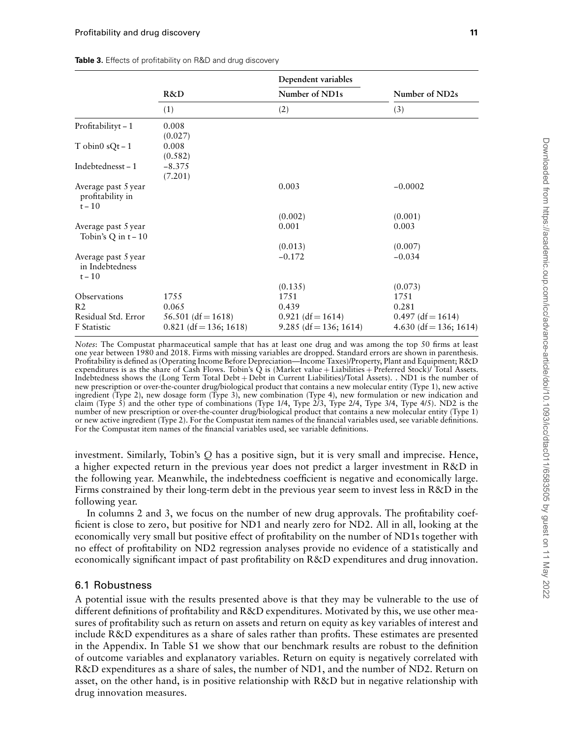|                                                     | R&D                      | Dependent variables<br>Number of ND1s | Number of ND2s         |
|-----------------------------------------------------|--------------------------|---------------------------------------|------------------------|
|                                                     |                          |                                       |                        |
|                                                     | (1)                      | (2)                                   | (3)                    |
| Profitabilityt-1                                    | 0.008<br>(0.027)         |                                       |                        |
| T obin $0$ sQt – 1                                  | 0.008<br>(0.582)         |                                       |                        |
| Indebtednesst-1                                     | $-8.375$<br>(7.201)      |                                       |                        |
| Average past 5 year<br>profitability in<br>$t - 10$ |                          | 0.003                                 | $-0.0002$              |
|                                                     |                          | (0.002)                               | (0.001)                |
| Average past 5 year<br>Tobin's Q in $t - 10$        |                          | 0.001                                 | 0.003                  |
|                                                     |                          | (0.013)                               | (0.007)                |
| Average past 5 year<br>in Indebtedness<br>$t - 10$  |                          | $-0.172$                              | $-0.034$               |
|                                                     |                          | (0.135)                               | (0.073)                |
| Observations                                        | 1755                     | 1751                                  | 1751                   |
| R <sub>2</sub>                                      | 0.065                    | 0.439                                 | 0.281                  |
| Residual Std. Error                                 | $56.501$ (df = 1618)     | $0.921$ (df = 1614)                   | $0.497$ (df = 1614)    |
| F Statistic                                         | $0.821$ (df = 136; 1618) | $9.285$ (df = 136; 1614)              | 4.630 (df = 136; 1614) |

<span id="page-10-0"></span>**Table 3.** Effects of profitability on R&D and drug discovery

*Notes*: The Compustat pharmaceutical sample that has at least one drug and was among the top 50 firms at least one year between 1980 and 2018. Firms with missing variables are dropped. Standard errors are shown in parenthesis. Profitability is defined as (Operating Income Before Depreciation—Income Taxes)/Property, Plant and Equipment; R&D expenditures is as the share of Cash Flows. Tobin's Q is (Market value + Liabilities + Preferred Stock)/ Total Assets. Indebtedness shows the (Long Term Total Debt + Debt in Current Liabilities)/Total Assets). . ND1 is the number of new prescription or over-the-counter drug/biological product that contains a new molecular entity (Type 1), new active ingredient (Type 2), new dosage form (Type 3), new combination (Type 4), new formulation or new indication and claim (Type 5) and the other type of combinations (Type 1/4, Type 2/3, Type 2/4, Type 3/4, Type 4/5). ND2 is the number of new prescription or over-the-counter drug/biological product that contains a new molecular entity (Type 1) or new active ingredient (Type 2). For the Compustat item names of the financial variables used, see variable definitions. For the Compustat item names of the financial variables used, see variable definitions.

investment. Similarly, Tobin's *Q* has a positive sign, but it is very small and imprecise. Hence, a higher expected return in the previous year does not predict a larger investment in R&D in the following year. Meanwhile, the indebtedness coefficient is negative and economically large. Firms constrained by their long-term debt in the previous year seem to invest less in R&D in the following year.

In columns 2 and 3, we focus on the number of new drug approvals. The profitability coefficient is close to zero, but positive for ND1 and nearly zero for ND2. All in all, looking at the economically very small but positive effect of profitability on the number of ND1s together with no effect of profitability on ND2 regression analyses provide no evidence of a statistically and economically significant impact of past profitability on R&D expenditures and drug innovation.

#### 6.1 Robustness

A potential issue with the results presented above is that they may be vulnerable to the use of different definitions of profitability and R&D expenditures. Motivated by this, we use other measures of profitability such as return on assets and return on equity as key variables of interest and include R&D expenditures as a share of sales rather than profits. These estimates are presented in the Appendix. In Table S1 we show that our benchmark results are robust to the definition of outcome variables and explanatory variables. Return on equity is negatively correlated with R&D expenditures as a share of sales, the number of ND1, and the number of ND2. Return on asset, on the other hand, is in positive relationship with R&D but in negative relationship with drug innovation measures.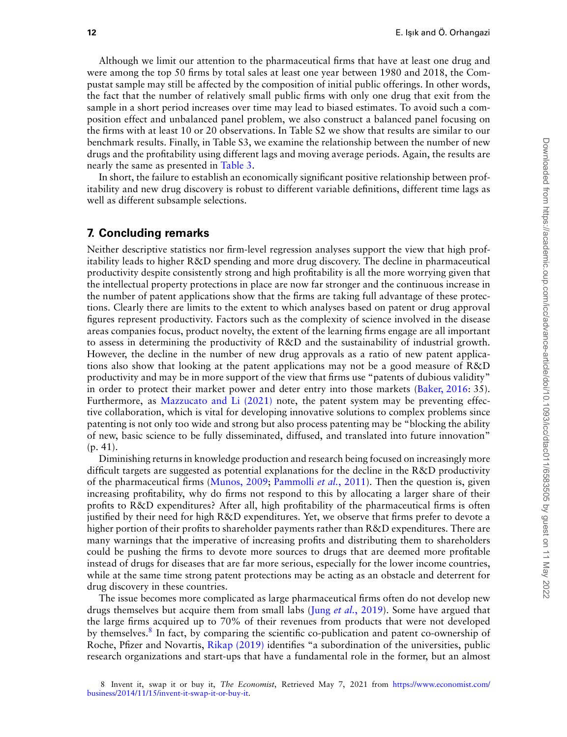Although we limit our attention to the pharmaceutical firms that have at least one drug and were among the top 50 firms by total sales at least one year between 1980 and 2018, the Compustat sample may still be affected by the composition of initial public offerings. In other words, the fact that the number of relatively small public firms with only one drug that exit from the sample in a short period increases over time may lead to biased estimates. To avoid such a composition effect and unbalanced panel problem, we also construct a balanced panel focusing on the firms with at least 10 or 20 observations. In Table S2 we show that results are similar to our benchmark results. Finally, in Table S3, we examine the relationship between the number of new drugs and the profitability using different lags and moving average periods. Again, the results are nearly the same as presented in [Table 3](#page-10-0).

In short, the failure to establish an economically significant positive relationship between profitability and new drug discovery is robust to different variable definitions, different time lags as well as different subsample selections.

#### **7. Concluding remarks**

Neither descriptive statistics nor firm-level regression analyses support the view that high profitability leads to higher R&D spending and more drug discovery. The decline in pharmaceutical productivity despite consistently strong and high profitability is all the more worrying given that the intellectual property protections in place are now far stronger and the continuous increase in the number of patent applications show that the firms are taking full advantage of these protections. Clearly there are limits to the extent to which analyses based on patent or drug approval figures represent productivity. Factors such as the complexity of science involved in the disease areas companies focus, product novelty, the extent of the learning firms engage are all important to assess in determining the productivity of R&D and the sustainability of industrial growth. However, the decline in the number of new drug approvals as a ratio of new patent applications also show that looking at the patent applications may not be a good measure of R&D productivity and may be in more support of the view that firms use "patents of dubious validity" in order to protect their market power and deter entry into those markets([Baker, 2016](#page-12-5): 35). Furthermore, as [Mazzucato and Li \(2021\)](#page-13-20) note, the patent system may be preventing effective collaboration, which is vital for developing innovative solutions to complex problems since patenting is not only too wide and strong but also process patenting may be "blocking the ability of new, basic science to be fully disseminated, diffused, and translated into future innovation" (p. 41).

Diminishing returns in knowledge production and research being focused on increasingly more difficult targets are suggested as potential explanations for the decline in the R&D productivity of the pharmaceutical firms([Munos, 2009](#page-13-3); [Pammolli](#page-13-5) *et al.*, 2011). Then the question is, given increasing profitability, why do firms not respond to this by allocating a larger share of their profits to R&D expenditures? After all, high profitability of the pharmaceutical firms is often justified by their need for high R&D expenditures. Yet, we observe that firms prefer to devote a higher portion of their profits to shareholder payments rather than R&D expenditures. There are many warnings that the imperative of increasing profits and distributing them to shareholders could be pushing the firms to devote more sources to drugs that are deemed more profitable instead of drugs for diseases that are far more serious, especially for the lower income countries, while at the same time strong patent protections may be acting as an obstacle and deterrent for drug discovery in these countries.

<span id="page-11-0"></span>The issue becomes more complicated as large pharmaceutical firms often do not develop new drugs themselves but acquire them from small labs (Jung *et al.*[, 2019\)](#page-13-13). Some have argued that the large firms acquired up to 70% of their revenues from products that were not developed by themselves.<sup>[8](#page-11-0)</sup> In fact, by comparing the scientific co-publication and patent co-ownership of Roche, Pfizer and Novartis, [Rikap \(2019\)](#page-13-27) identifies "a subordination of the universities, public research organizations and start-ups that have a fundamental role in the former, but an almost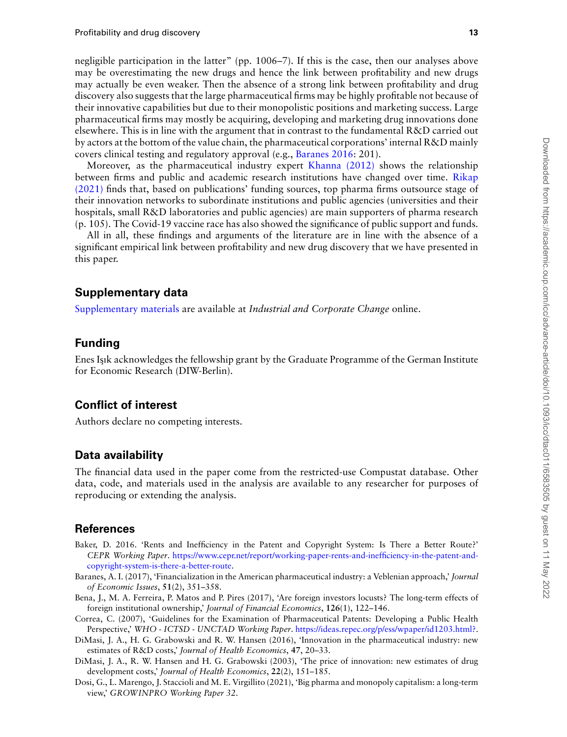negligible participation in the latter" (pp. 1006–7). If this is the case, then our analyses above may be overestimating the new drugs and hence the link between profitability and new drugs may actually be even weaker. Then the absence of a strong link between profitability and drug discovery also suggests that the large pharmaceutical firms may be highly profitable not because of their innovative capabilities but due to their monopolistic positions and marketing success. Large pharmaceutical firms may mostly be acquiring, developing and marketing drug innovations done elsewhere. This is in line with the argument that in contrast to the fundamental R&D carried out by actors at the bottom of the value chain, the pharmaceutical corporations' internal R&D mainly covers clinical testing and regulatory approval (e.g., [Baranes 2016](#page-12-6): 201).

Moreover, as the pharmaceutical industry expert [Khanna \(2012\)](#page-13-6) shows the relationship between firms and public and academic research institutions have changed over time. [Rikap](#page-13-2) [\(2021\)](#page-13-2) finds that, based on publications' funding sources, top pharma firms outsource stage of their innovation networks to subordinate institutions and public agencies (universities and their hospitals, small R&D laboratories and public agencies) are main supporters of pharma research (p. 105). The Covid-19 vaccine race has also showed the significance of public support and funds.

All in all, these findings and arguments of the literature are in line with the absence of a significant empirical link between profitability and new drug discovery that we have presented in this paper.

## **Supplementary data**

[Supplementary materials](https://academic.oup.com/icc/article-lookup/doi/10.1093/icc/dtac011#supplementary-data) are available at *Industrial and Corporate Change* online.

## **Funding**

Enes Isık acknowledges the fellowship grant by the Graduate Programme of the German Institute for Economic Research (DIW-Berlin).

## **Conflict of interest**

Authors declare no competing interests.

## **Data availability**

The financial data used in the paper come from the restricted-use Compustat database. Other data, code, and materials used in the analysis are available to any researcher for purposes of reproducing or extending the analysis.

## **References**

- <span id="page-12-5"></span>Baker, D. 2016. 'Rents and Inefficiency in the Patent and Copyright System: Is There a Better Route?' *CEPR Working Paper*. [https://www.cepr.net/report/working-paper-rents-and-inefficiency-in-the-patent-and](https://www.cepr.net/report/working-paper-rents-and-inefficiency-in-the-patent-and-copyright-system-is-there-a-better-route)[copyright-system-is-there-a-better-route.](https://www.cepr.net/report/working-paper-rents-and-inefficiency-in-the-patent-and-copyright-system-is-there-a-better-route)
- <span id="page-12-6"></span>Baranes, A. I. (2017), 'Financialization in the American pharmaceutical industry: a Veblenian approach,' *Journal of Economic Issues*, **51**(2), 351–358.
- <span id="page-12-2"></span>Bena, J., M. A. Ferreira, P. Matos and P. Pires (2017), 'Are foreign investors locusts? The long-term effects of foreign institutional ownership,' *Journal of Financial Economics*, **126**(1), 122–146.
- <span id="page-12-3"></span>Correa, C. (2007), 'Guidelines for the Examination of Pharmaceutical Patents: Developing a Public Health Perspective,' *WHO - ICTSD - UNCTAD Working Paper*. [https://ideas.repec.org/p/ess/wpaper/id1203.html?.](https://ideas.repec.org/p/ess/wpaper/id1203.html?)
- <span id="page-12-1"></span>DiMasi, J. A., H. G. Grabowski and R. W. Hansen (2016), 'Innovation in the pharmaceutical industry: new estimates of R&D costs,' *Journal of Health Economics*, **47**, 20–33.
- <span id="page-12-0"></span>DiMasi, J. A., R. W. Hansen and H. G. Grabowski (2003), 'The price of innovation: new estimates of drug development costs,' *Journal of Health Economics*, **22**(2), 151–185.
- <span id="page-12-4"></span>Dosi, G., L. Marengo, J. Staccioli and M. E. Virgillito (2021), 'Big pharma and monopoly capitalism: a long-term view,' *GROWINPRO Working Paper 32*.